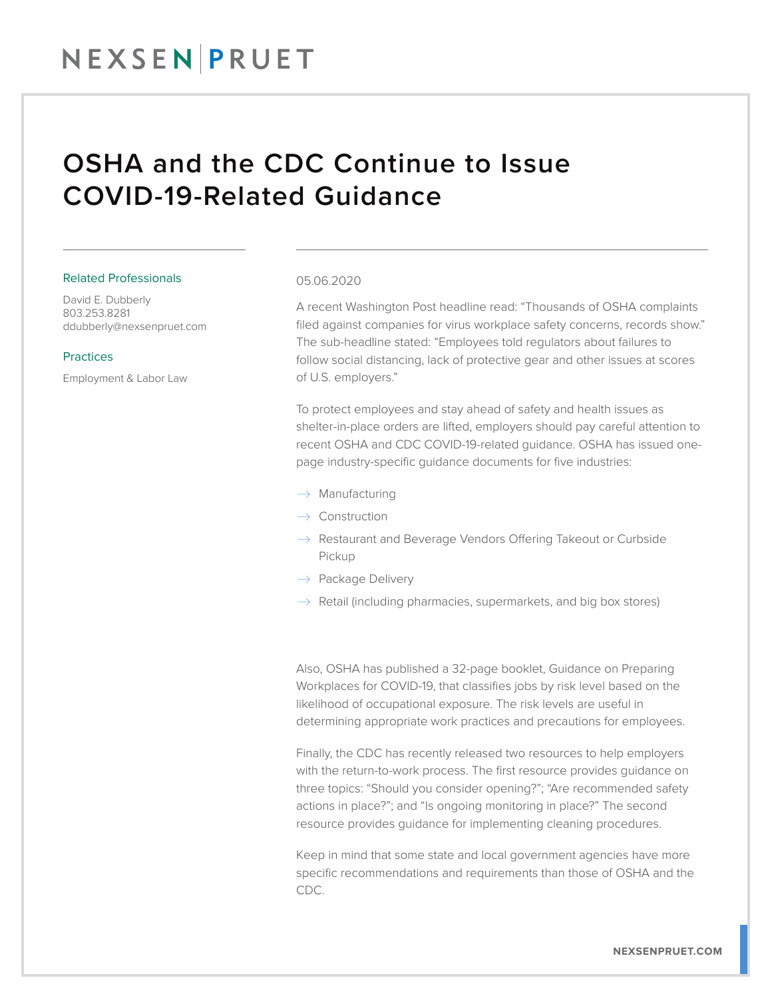## NEXSENPRUET

### OSHA and the CDC Continue to Issue COVID-19-Related Guidance

#### Related Professionals

David E. Dubberly 803.253.8281 ddubberly@nexsenpruet.com

#### Practices

Employment & Labor Law

#### 05.06.2020

A recent Washington Post headline read: "Thousands of OSHA complaints filed against companies for virus workplace safety concerns, records show." The sub-headline stated: "Employees told regulators about failures to follow social distancing, lack of protective gear and other issues at scores of U.S. employers."

To protect employees and stay ahead of safety and health issues as shelter-in-place orders are lifted, employers should pay careful attention to recent OSHA and CDC COVID-19-related guidance. OSHA has issued onepage industry-specific guidance documents for five industries:

- $\rightarrow$  Manufacturing
- $\rightarrow$  Construction
- $\rightarrow$  Restaurant and Beverage Vendors Offering Takeout or Curbside Pickup
- $\rightarrow$  Package Delivery
- $\rightarrow$  Retail (including pharmacies, supermarkets, and big box stores)

Also, OSHA has published a 32-page booklet, Guidance on Preparing Workplaces for COVID-19, that classifies jobs by risk level based on the likelihood of occupational exposure. The risk levels are useful in determining appropriate work practices and precautions for employees.

Finally, the CDC has recently released two resources to help employers with the return-to-work process. The first resource provides guidance on three topics: "Should you consider opening?"; "Are recommended safety actions in place?"; and "Is ongoing monitoring in place?" The second resource provides guidance for implementing cleaning procedures.

Keep in mind that some state and local government agencies have more specific recommendations and requirements than those of OSHA and the CDC.